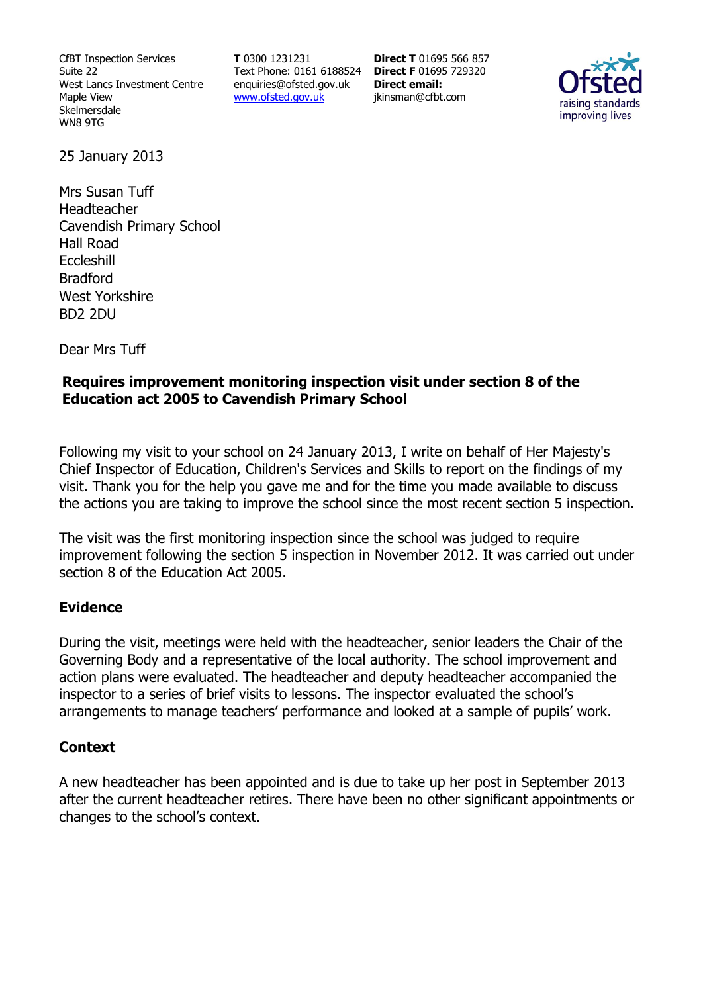CfBT Inspection Services Suite 22 West Lancs Investment Centre Maple View Skelmersdale WN8 9TG

**T** 0300 1231231 Text Phone: 0161 6188524 **Direct F** 01695 729320 enquiries@ofsted.gov.uk www.ofsted.gov.uk

**Direct T** 01695 566 857 **Direct email:**  jkinsman@cfbt.com



25 January 2013

Mrs Susan Tuff Headteacher Cavendish Primary School Hall Road **Eccleshill** Bradford West Yorkshire BD2 2DU

Dear Mrs Tuff

### **Requires improvement monitoring inspection visit under section 8 of the Education act 2005 to Cavendish Primary School**

Following my visit to your school on 24 January 2013, I write on behalf of Her Majesty's Chief Inspector of Education, Children's Services and Skills to report on the findings of my visit. Thank you for the help you gave me and for the time you made available to discuss the actions you are taking to improve the school since the most recent section 5 inspection.

The visit was the first monitoring inspection since the school was judged to require improvement following the section 5 inspection in November 2012. It was carried out under section 8 of the Education Act 2005.

### **Evidence**

During the visit, meetings were held with the headteacher, senior leaders the Chair of the Governing Body and a representative of the local authority. The school improvement and action plans were evaluated. The headteacher and deputy headteacher accompanied the inspector to a series of brief visits to lessons. The inspector evaluated the school's arrangements to manage teachers' performance and looked at a sample of pupils' work.

### **Context**

A new headteacher has been appointed and is due to take up her post in September 2013 after the current headteacher retires. There have been no other significant appointments or changes to the school's context.